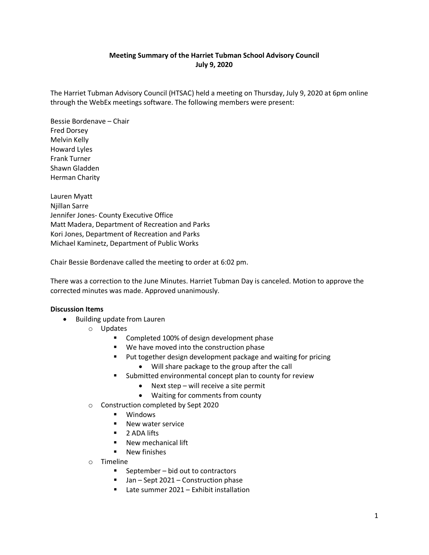# **Meeting Summary of the Harriet Tubman School Advisory Council July 9, 2020**

The Harriet Tubman Advisory Council (HTSAC) held a meeting on Thursday, July 9, 2020 at 6pm online through the WebEx meetings software. The following members were present:

Bessie Bordenave – Chair Fred Dorsey Melvin Kelly Howard Lyles Frank Turner Shawn Gladden Herman Charity

Lauren Myatt Njillan Sarre Jennifer Jones- County Executive Office Matt Madera, Department of Recreation and Parks Kori Jones, Department of Recreation and Parks Michael Kaminetz, Department of Public Works

Chair Bessie Bordenave called the meeting to order at 6:02 pm.

There was a correction to the June Minutes. Harriet Tubman Day is canceled. Motion to approve the corrected minutes was made. Approved unanimously.

# **Discussion Items**

- Building update from Lauren
	- o Updates
		- **Completed 100% of design development phase**
		- We have moved into the construction phase
		- **Put together design development package and waiting for pricing** 
			- Will share package to the group after the call
		- Submitted environmental concept plan to county for review
			- Next step will receive a site permit
			- Waiting for comments from county
	- o Construction completed by Sept 2020
		- **Windows**
		- **New water service**
		- $\blacksquare$  2 ADA lifts
		- New mechanical lift
		- New finishes
	- o Timeline
		- September bid out to contractors
		- Jan Sept 2021 Construction phase
		- Late summer 2021 Exhibit installation